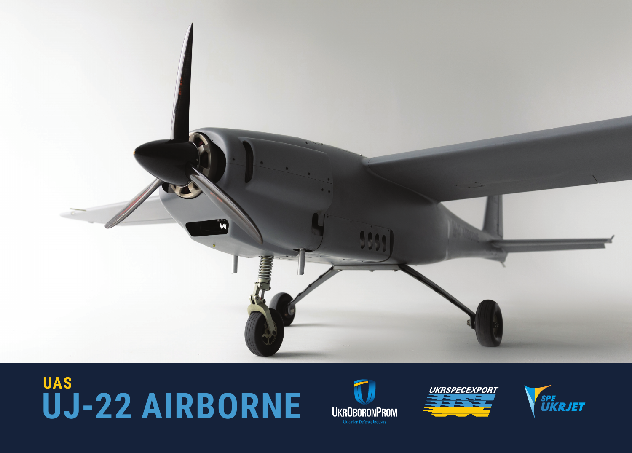

## **UJ-22 AIRBORNE UAS**